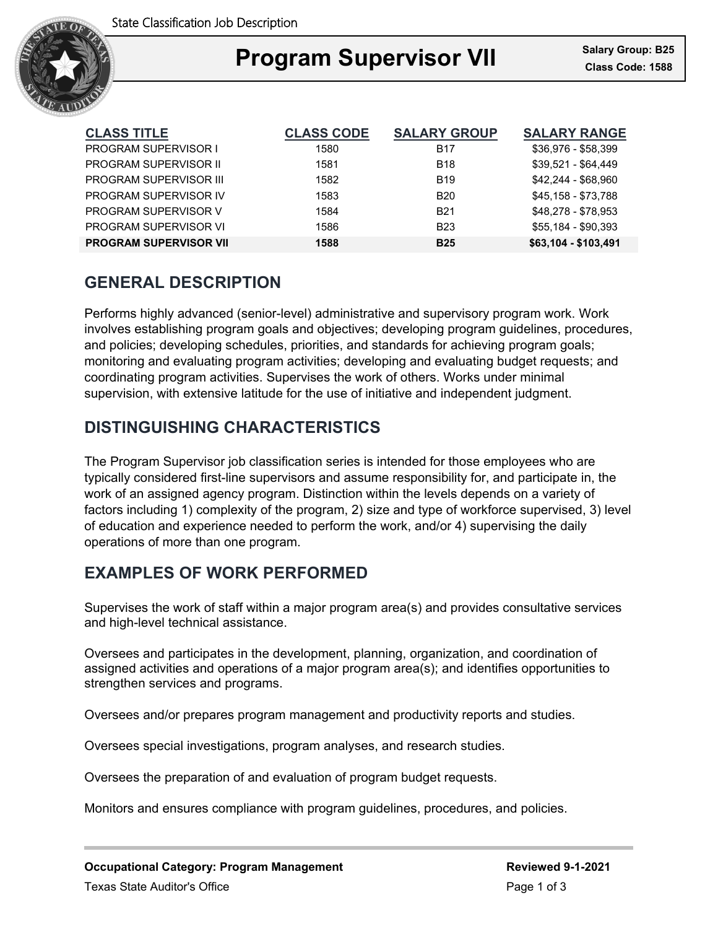

## Ξ **Program Supervisor VII** Salary Group: B25

| <b>CLASS TITLE</b>            | <b>CLASS CODE</b> | <b>SALARY GROUP</b> | <b>SALARY RANGE</b>  |
|-------------------------------|-------------------|---------------------|----------------------|
| <b>PROGRAM SUPERVISOR I</b>   | 1580              | <b>B17</b>          | \$36,976 - \$58,399  |
| <b>PROGRAM SUPERVISOR II</b>  | 1581              | <b>B18</b>          | $$39.521 - $64.449$  |
| <b>PROGRAM SUPERVISOR III</b> | 1582              | <b>B</b> 19         | $$42,244 - $68,960$  |
| PROGRAM SUPFRVISOR IV         | 1583              | <b>B20</b>          | \$45,158 - \$73,788  |
| PROGRAM SUPERVISOR V          | 1584              | <b>B21</b>          | \$48.278 - \$78.953  |
| PROGRAM SUPERVISOR VI         | 1586              | <b>B23</b>          | \$55.184 - \$90.393  |
| <b>PROGRAM SUPERVISOR VII</b> | 1588              | <b>B25</b>          | \$63,104 - \$103,491 |

# **GENERAL DESCRIPTION**

Performs highly advanced (senior-level) administrative and supervisory program work. Work involves establishing program goals and objectives; developing program guidelines, procedures, and policies; developing schedules, priorities, and standards for achieving program goals; monitoring and evaluating program activities; developing and evaluating budget requests; and coordinating program activities. Supervises the work of others. Works under minimal supervision, with extensive latitude for the use of initiative and independent judgment.

# **DISTINGUISHING CHARACTERISTICS**

The Program Supervisor job classification series is intended for those employees who are typically considered first-line supervisors and assume responsibility for, and participate in, the work of an assigned agency program. Distinction within the levels depends on a variety of factors including 1) complexity of the program, 2) size and type of workforce supervised, 3) level of education and experience needed to perform the work, and/or 4) supervising the daily operations of more than one program.

## **EXAMPLES OF WORK PERFORMED**

Supervises the work of staff within a major program area(s) and provides consultative services and high-level technical assistance.

Oversees and participates in the development, planning, organization, and coordination of assigned activities and operations of a major program area(s); and identifies opportunities to strengthen services and programs.

Oversees and/or prepares program management and productivity reports and studies.

Oversees special investigations, program analyses, and research studies.

Oversees the preparation of and evaluation of program budget requests.

Monitors and ensures compliance with program guidelines, procedures, and policies.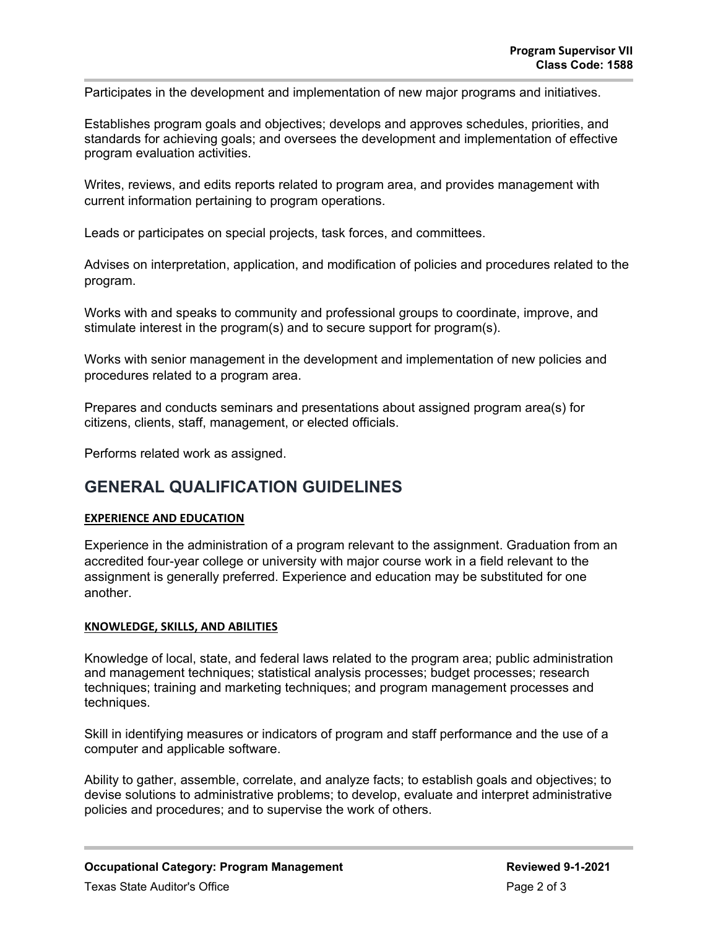Participates in the development and implementation of new major programs and initiatives.

Establishes program goals and objectives; develops and approves schedules, priorities, and standards for achieving goals; and oversees the development and implementation of effective program evaluation activities.

Writes, reviews, and edits reports related to program area, and provides management with current information pertaining to program operations.

Leads or participates on special projects, task forces, and committees.

Advises on interpretation, application, and modification of policies and procedures related to the program.

Works with and speaks to community and professional groups to coordinate, improve, and stimulate interest in the program(s) and to secure support for program(s).

Works with senior management in the development and implementation of new policies and procedures related to a program area.

Prepares and conducts seminars and presentations about assigned program area(s) for citizens, clients, staff, management, or elected officials.

Performs related work as assigned.

## **GENERAL QUALIFICATION GUIDELINES**

### **EXPERIENCE AND EDUCATION**

Experience in the administration of a program relevant to the assignment. Graduation from an accredited four-year college or university with major course work in a field relevant to the assignment is generally preferred. Experience and education may be substituted for one another.

#### **KNOWLEDGE, SKILLS, AND ABILITIES**

Knowledge of local, state, and federal laws related to the program area; public administration and management techniques; statistical analysis processes; budget processes; research techniques; training and marketing techniques; and program management processes and techniques.

Skill in identifying measures or indicators of program and staff performance and the use of a computer and applicable software.

Ability to gather, assemble, correlate, and analyze facts; to establish goals and objectives; to devise solutions to administrative problems; to develop, evaluate and interpret administrative policies and procedures; and to supervise the work of others.